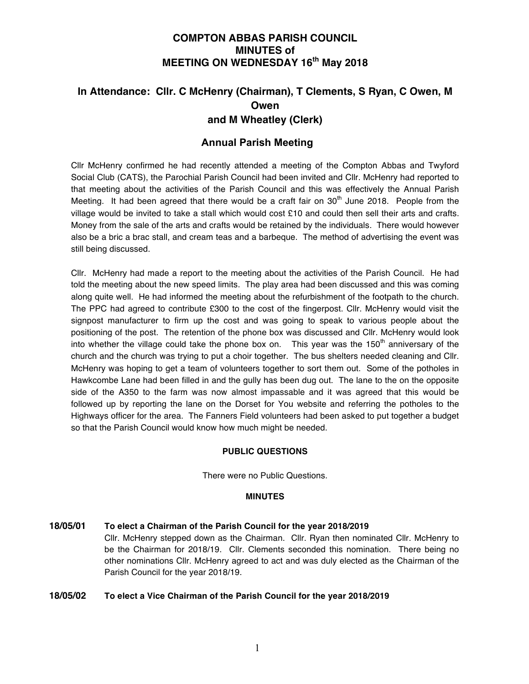# **COMPTON ABBAS PARISH COUNCIL MINUTES of MEETING ON WEDNESDAY 16th May 2018**

# **In Attendance: Cllr. C McHenry (Chairman), T Clements, S Ryan, C Owen, M Owen and M Wheatley (Clerk)**

# **Annual Parish Meeting**

Cllr McHenry confirmed he had recently attended a meeting of the Compton Abbas and Twyford Social Club (CATS), the Parochial Parish Council had been invited and Cllr. McHenry had reported to that meeting about the activities of the Parish Council and this was effectively the Annual Parish Meeting. It had been agreed that there would be a craft fair on  $30<sup>th</sup>$  June 2018. People from the village would be invited to take a stall which would cost £10 and could then sell their arts and crafts. Money from the sale of the arts and crafts would be retained by the individuals. There would however also be a bric a brac stall, and cream teas and a barbeque. The method of advertising the event was still being discussed.

Cllr. McHenry had made a report to the meeting about the activities of the Parish Council. He had told the meeting about the new speed limits. The play area had been discussed and this was coming along quite well. He had informed the meeting about the refurbishment of the footpath to the church. The PPC had agreed to contribute £300 to the cost of the fingerpost. Cllr. McHenry would visit the signpost manufacturer to firm up the cost and was going to speak to various people about the positioning of the post. The retention of the phone box was discussed and Cllr. McHenry would look into whether the village could take the phone box on. This year was the 150<sup>th</sup> anniversary of the church and the church was trying to put a choir together. The bus shelters needed cleaning and Cllr. McHenry was hoping to get a team of volunteers together to sort them out. Some of the potholes in Hawkcombe Lane had been filled in and the gully has been dug out. The lane to the on the opposite side of the A350 to the farm was now almost impassable and it was agreed that this would be followed up by reporting the lane on the Dorset for You website and referring the potholes to the Highways officer for the area. The Fanners Field volunteers had been asked to put together a budget so that the Parish Council would know how much might be needed.

# **PUBLIC QUESTIONS**

There were no Public Questions.

# **MINUTES**

**18/05/01 To elect a Chairman of the Parish Council for the year 2018/2019**  Cllr. McHenry stepped down as the Chairman. Cllr. Ryan then nominated Cllr. McHenry to be the Chairman for 2018/19. Cllr. Clements seconded this nomination. There being no other nominations Cllr. McHenry agreed to act and was duly elected as the Chairman of the Parish Council for the year 2018/19.

# **18/05/02 To elect a Vice Chairman of the Parish Council for the year 2018/2019**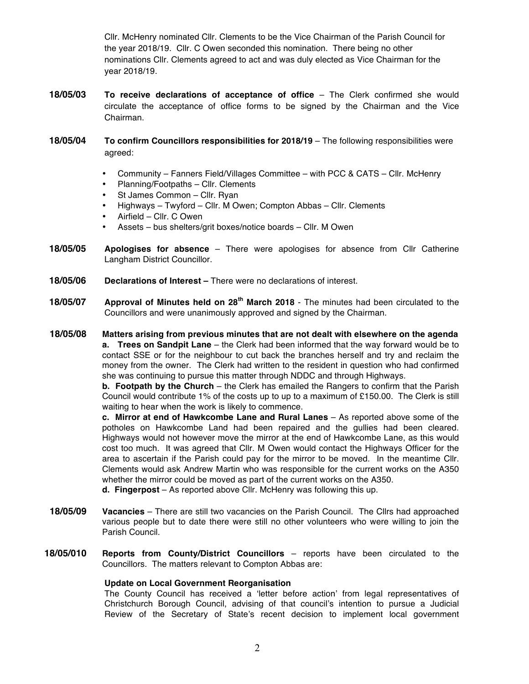Cllr. McHenry nominated Cllr. Clements to be the Vice Chairman of the Parish Council for the year 2018/19. Cllr. C Owen seconded this nomination. There being no other nominations Cllr. Clements agreed to act and was duly elected as Vice Chairman for the year 2018/19.

**18/05/03 To receive declarations of acceptance of office** – The Clerk confirmed she would circulate the acceptance of office forms to be signed by the Chairman and the Vice Chairman.

**18/05/04 To confirm Councillors responsibilities for 2018/19** – The following responsibilities were agreed:

- Community Fanners Field/Villages Committee with PCC & CATS Cllr. McHenry
- Planning/Footpaths Cllr. Clements
- St James Common Cllr. Ryan
- Highways Twyford Cllr. M Owen; Compton Abbas Cllr. Clements
- Airfield Cllr. C Owen
- Assets bus shelters/grit boxes/notice boards Cllr. M Owen
- **18/05/05 Apologises for absence**  There were apologises for absence from Cllr Catherine Langham District Councillor.
- **18/05/06 Declarations of Interest –** There were no declarations of interest.
- **18/05/07 Approval of Minutes held on 28th March 2018**  The minutes had been circulated to the Councillors and were unanimously approved and signed by the Chairman.

**18/05/08 Matters arising from previous minutes that are not dealt with elsewhere on the agenda a. Trees on Sandpit Lane** – the Clerk had been informed that the way forward would be to contact SSE or for the neighbour to cut back the branches herself and try and reclaim the money from the owner. The Clerk had written to the resident in question who had confirmed she was continuing to pursue this matter through NDDC and through Highways.

**b. Footpath by the Church** – the Clerk has emailed the Rangers to confirm that the Parish Council would contribute 1% of the costs up to up to a maximum of £150.00. The Clerk is still waiting to hear when the work is likely to commence.

**c. Mirror at end of Hawkcombe Lane and Rural Lanes** – As reported above some of the potholes on Hawkcombe Land had been repaired and the gullies had been cleared. Highways would not however move the mirror at the end of Hawkcombe Lane, as this would cost too much. It was agreed that Cllr. M Owen would contact the Highways Officer for the area to ascertain if the Parish could pay for the mirror to be moved. In the meantime Cllr. Clements would ask Andrew Martin who was responsible for the current works on the A350 whether the mirror could be moved as part of the current works on the A350.

**d. Fingerpost** – As reported above Cllr. McHenry was following this up.

- **18/05/09 Vacancies** There are still two vacancies on the Parish Council. The Cllrs had approached various people but to date there were still no other volunteers who were willing to join the Parish Council.
- **18/05/010 Reports from County/District Councillors**  reports have been circulated to the Councillors. The matters relevant to Compton Abbas are:

#### **Update on Local Government Reorganisation**

The County Council has received a 'letter before action' from legal representatives of Christchurch Borough Council, advising of that council's intention to pursue a Judicial Review of the Secretary of State's recent decision to implement local government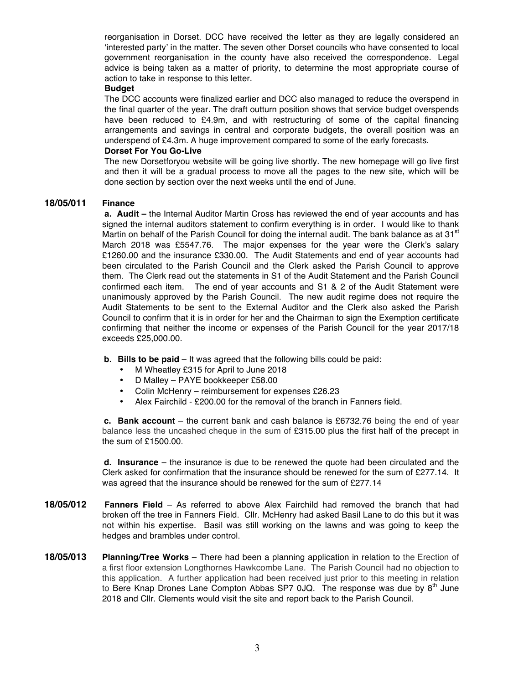reorganisation in Dorset. DCC have received the letter as they are legally considered an 'interested party' in the matter. The seven other Dorset councils who have consented to local government reorganisation in the county have also received the correspondence. Legal advice is being taken as a matter of priority, to determine the most appropriate course of action to take in response to this letter.

#### **Budget**

The DCC accounts were finalized earlier and DCC also managed to reduce the overspend in the final quarter of the year. The draft outturn position shows that service budget overspends have been reduced to £4.9m, and with restructuring of some of the capital financing arrangements and savings in central and corporate budgets, the overall position was an underspend of £4.3m. A huge improvement compared to some of the early forecasts.

#### **Dorset For You Go-Live**

The new Dorsetforyou website will be going live shortly. The new homepage will go live first and then it will be a gradual process to move all the pages to the new site, which will be done section by section over the next weeks until the end of June.

# **18/05/011 Finance**

**a. Audit –** the Internal Auditor Martin Cross has reviewed the end of year accounts and has signed the internal auditors statement to confirm everything is in order. I would like to thank Martin on behalf of the Parish Council for doing the internal audit. The bank balance as at 31 $^{\rm st}$ March 2018 was £5547.76. The major expenses for the year were the Clerk's salary £1260.00 and the insurance £330.00. The Audit Statements and end of year accounts had been circulated to the Parish Council and the Clerk asked the Parish Council to approve them. The Clerk read out the statements in S1 of the Audit Statement and the Parish Council confirmed each item. The end of year accounts and S1 & 2 of the Audit Statement were unanimously approved by the Parish Council. The new audit regime does not require the Audit Statements to be sent to the External Auditor and the Clerk also asked the Parish Council to confirm that it is in order for her and the Chairman to sign the Exemption certificate confirming that neither the income or expenses of the Parish Council for the year 2017/18 exceeds £25,000.00.

- **b. Bills to be paid** It was agreed that the following bills could be paid:
	- M Wheatley £315 for April to June 2018
	- D Malley PAYE bookkeeper £58.00
	- Colin McHenry reimbursement for expenses £26.23
	- Alex Fairchild £200.00 for the removal of the branch in Fanners field.

**c. Bank account** – the current bank and cash balance is £6732.76 being the end of year balance less the uncashed cheque in the sum of £315.00 plus the first half of the precept in the sum of £1500.00.

**d. Insurance** – the insurance is due to be renewed the quote had been circulated and the Clerk asked for confirmation that the insurance should be renewed for the sum of £277.14. It was agreed that the insurance should be renewed for the sum of £277.14

- **18/05/012 Fanners Field** As referred to above Alex Fairchild had removed the branch that had broken off the tree in Fanners Field. Cllr. McHenry had asked Basil Lane to do this but it was not within his expertise. Basil was still working on the lawns and was going to keep the hedges and brambles under control.
- **18/05/013 Planning/Tree Works** There had been a planning application in relation to the Erection of a first floor extension Longthornes Hawkcombe Lane. The Parish Council had no objection to this application. A further application had been received just prior to this meeting in relation to Bere Knap Drones Lane Compton Abbas SP7 0JQ. The response was due by  $8^{th}$  June 2018 and Cllr. Clements would visit the site and report back to the Parish Council.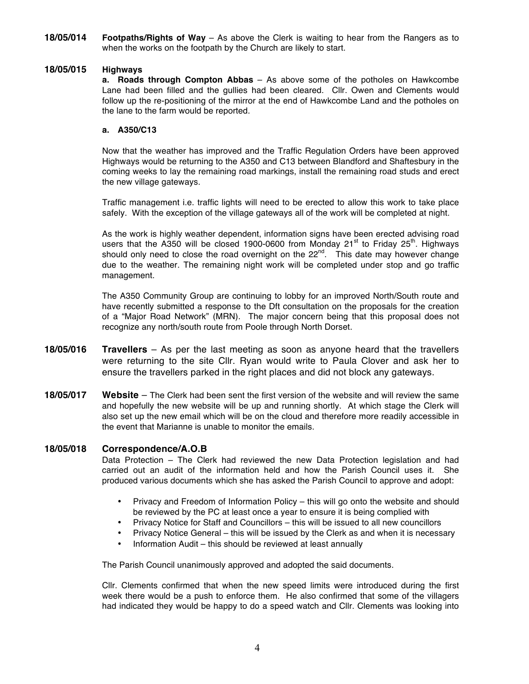**18/05/014 Footpaths/Rights of Way** – As above the Clerk is waiting to hear from the Rangers as to when the works on the footpath by the Church are likely to start.

# **18/05/015 Highways**

**a. Roads through Compton Abbas** – As above some of the potholes on Hawkcombe Lane had been filled and the gullies had been cleared. Cllr. Owen and Clements would follow up the re-positioning of the mirror at the end of Hawkcombe Land and the potholes on the lane to the farm would be reported.

# **a. A350/C13**

Now that the weather has improved and the Traffic Regulation Orders have been approved Highways would be returning to the A350 and C13 between Blandford and Shaftesbury in the coming weeks to lay the remaining road markings, install the remaining road studs and erect the new village gateways.

Traffic management i.e. traffic lights will need to be erected to allow this work to take place safely. With the exception of the village gateways all of the work will be completed at night.

As the work is highly weather dependent, information signs have been erected advising road users that the A350 will be closed 1900-0600 from Monday 21<sup>st</sup> to Friday 25<sup>th</sup>. Highways should only need to close the road overnight on the  $22<sup>nd</sup>$ . This date may however change due to the weather. The remaining night work will be completed under stop and go traffic management.

The A350 Community Group are continuing to lobby for an improved North/South route and have recently submitted a response to the Dft consultation on the proposals for the creation of a "Major Road Network" (MRN). The major concern being that this proposal does not recognize any north/south route from Poole through North Dorset.

- **18/05/016 Travellers**  As per the last meeting as soon as anyone heard that the travellers were returning to the site Cllr. Ryan would write to Paula Clover and ask her to ensure the travellers parked in the right places and did not block any gateways.
- **18/05/017 Website**  The Clerk had been sent the first version of the website and will review the same and hopefully the new website will be up and running shortly. At which stage the Clerk will also set up the new email which will be on the cloud and therefore more readily accessible in the event that Marianne is unable to monitor the emails.

# **18/05/018 Correspondence/A.O.B**

Data Protection – The Clerk had reviewed the new Data Protection legislation and had carried out an audit of the information held and how the Parish Council uses it. She produced various documents which she has asked the Parish Council to approve and adopt:

- Privacy and Freedom of Information Policy this will go onto the website and should be reviewed by the PC at least once a year to ensure it is being complied with
- Privacy Notice for Staff and Councillors this will be issued to all new councillors
- Privacy Notice General this will be issued by the Clerk as and when it is necessary
- Information Audit this should be reviewed at least annually

The Parish Council unanimously approved and adopted the said documents.

Cllr. Clements confirmed that when the new speed limits were introduced during the first week there would be a push to enforce them. He also confirmed that some of the villagers had indicated they would be happy to do a speed watch and Cllr. Clements was looking into